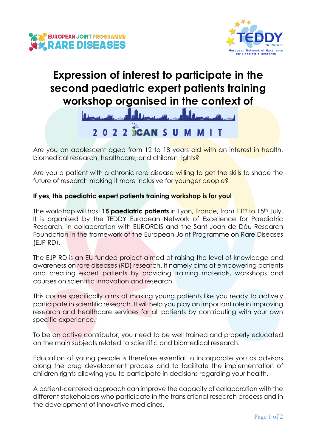



# **Expression of interest to participate in the second paediatric expert patients training workshop organised in the context of**



Are you an adolescent aged from 12 to 18 years old with an interest in health, biomedical research, healthcare, and children rights?

Are you a patient with a chronic rare disease willing to get the skills to shape the future of research making it more inclusive for younger people?

### **If yes, this paediatric expert patients training workshop is for you!**

The workshop will host **15 paediatric patients** in Lyon, France, from 11<sup>th</sup> to 15<sup>th</sup> July. It is organised by the TEDDY European Network of Excellence for Paediatric Research, in collaboration with EURORDIS and the Sant Joan de Déu Research Foundation in the framework of the European Joint Programme on Rare Diseases (EJP RD).

The EJP RD is an EU-funded project aimed at raising the level of knowledge and awareness on rare diseases (RD) research. It namely aims at empowering patients and creating expert patients by providing training materials, workshops and courses on scientific innovation and research.

This course specifically aims at making young patients like you ready to actively participate in scientific research. It will help you play an important role in improving research and healthcare services for all patients by contributing with your own specific experience.

To be an active contributor, you need to be well trained and properly educated on the main subjects related to scientific and biomedical research.

Education of young people is therefore essential to incorporate you as advisors along the drug development process and to facilitate the implementation of children rights allowing you to participate in decisions regarding your health.

A patient-centered approach can improve the capacity of collaboration with the different stakeholders who participate in the translational research process and in the development of innovative medicines.